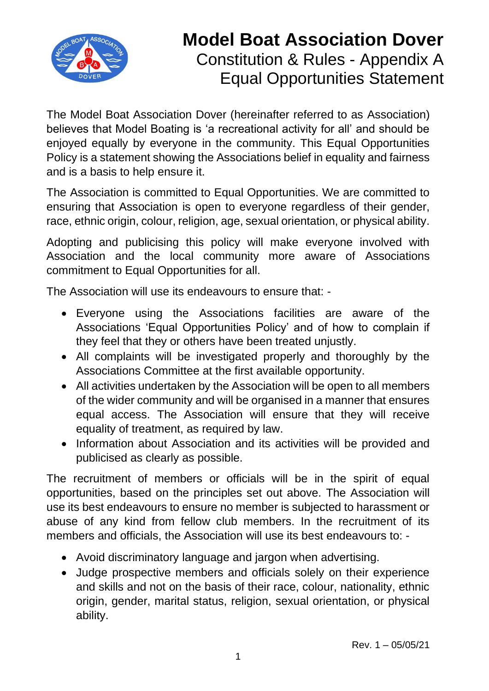

## **Model Boat Association Dover** Constitution & Rules - Appendix A Equal Opportunities Statement

The Model Boat Association Dover (hereinafter referred to as Association) believes that Model Boating is 'a recreational activity for all' and should be enjoyed equally by everyone in the community. This Equal Opportunities Policy is a statement showing the Associations belief in equality and fairness and is a basis to help ensure it.

The Association is committed to Equal Opportunities. We are committed to ensuring that Association is open to everyone regardless of their gender, race, ethnic origin, colour, religion, age, sexual orientation, or physical ability.

Adopting and publicising this policy will make everyone involved with Association and the local community more aware of Associations commitment to Equal Opportunities for all.

The Association will use its endeavours to ensure that: -

- Everyone using the Associations facilities are aware of the Associations 'Equal Opportunities Policy' and of how to complain if they feel that they or others have been treated unjustly.
- All complaints will be investigated properly and thoroughly by the Associations Committee at the first available opportunity.
- All activities undertaken by the Association will be open to all members of the wider community and will be organised in a manner that ensures equal access. The Association will ensure that they will receive equality of treatment, as required by law.
- Information about Association and its activities will be provided and publicised as clearly as possible.

The recruitment of members or officials will be in the spirit of equal opportunities, based on the principles set out above. The Association will use its best endeavours to ensure no member is subjected to harassment or abuse of any kind from fellow club members. In the recruitment of its members and officials, the Association will use its best endeavours to: -

- Avoid discriminatory language and jargon when advertising.
- Judge prospective members and officials solely on their experience and skills and not on the basis of their race, colour, nationality, ethnic origin, gender, marital status, religion, sexual orientation, or physical ability.